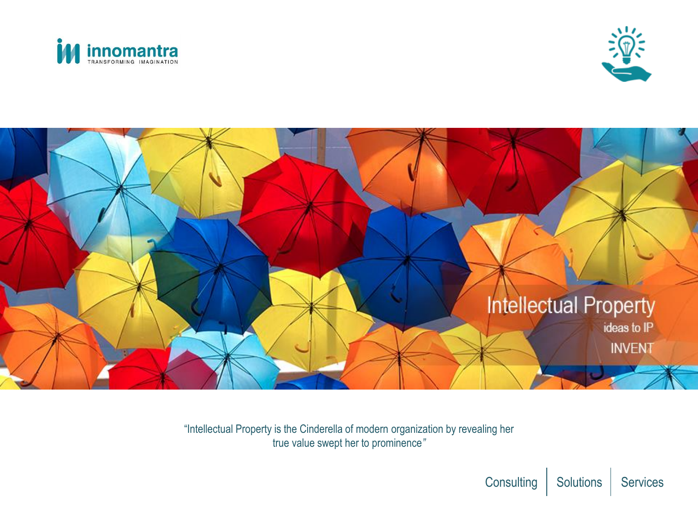





"Intellectual Property is the Cinderella of modern organization by revealing her true value swept her to prominence*"*

Consulting | Solutions | Services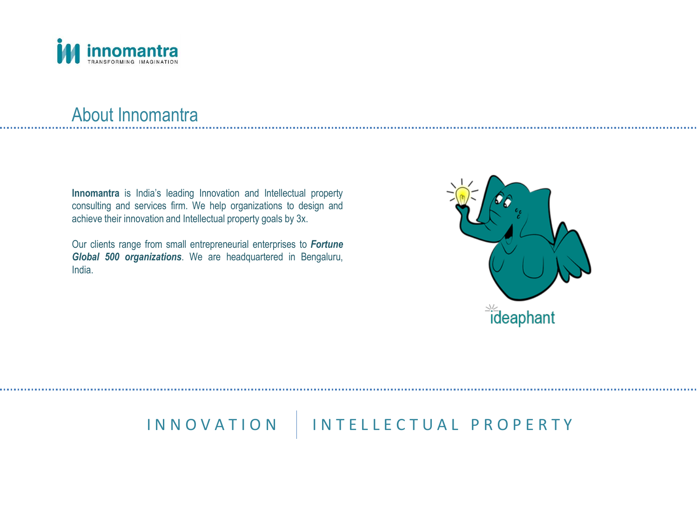

### About Innomantra

**Innomantra** is India's leading Innovation and Intellectual property consulting and services firm. We help organizations to design and achieve their innovation and Intellectual property goals by 3x.

Our clients range from small entrepreneurial enterprises to *Fortune Global 500 organizations*. We are headquartered in Bengaluru, India.



## INNOVATION | INTELLECTUAL PROPERTY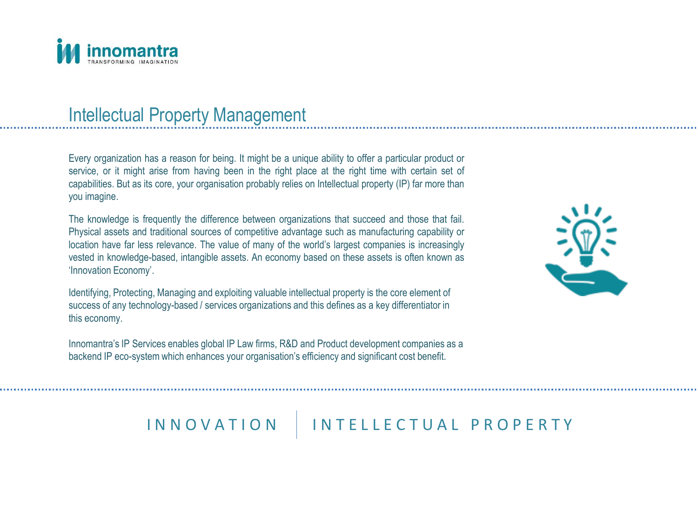

### Intellectual Property Management

Every organization has a reason for being. It might be a unique ability to offer a particular product or service, or it might arise from having been in the right place at the right time with certain set of capabilities. But as its core, your organisation probably relies on Intellectual property (IP) far more than you imagine.

The knowledge is frequently the difference between organizations that succeed and those that fail. Physical assets and traditional sources of competitive advantage such as manufacturing capability or location have far less relevance. The value of many of the world's largest companies is increasingly vested in knowledge-based, intangible assets. An economy based on these assets is often known as 'Innovation Economy'.

Identifying, Protecting, Managing and exploiting valuable intellectual property is the core element of success of any technology-based / services organizations and this defines as a key differentiator in this economy.

Innomantra's IP Services enables global IP Law firms, R&D and Product development companies as a backend IP eco-system which enhances your organisation's efficiency and significant cost benefit.



### IN N O V A T I O N | IN T E L L E C T U A L P R O P E R T Y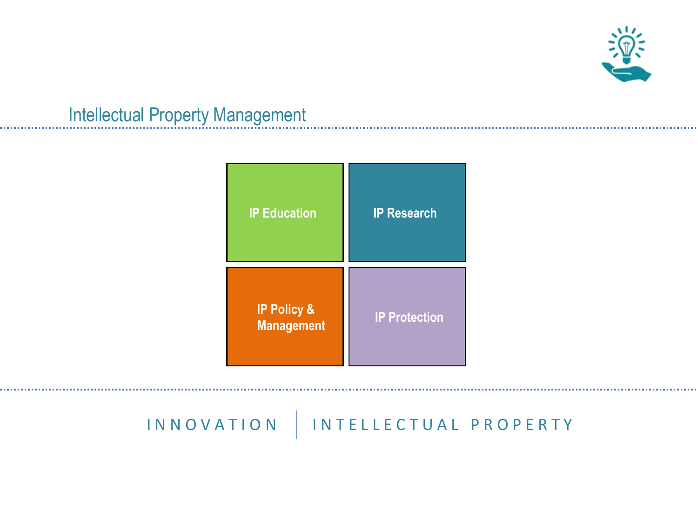

### Intellectual Property Management



### IN N O V A T I O N | IN T E L L E C T U A L P R O P E R T Y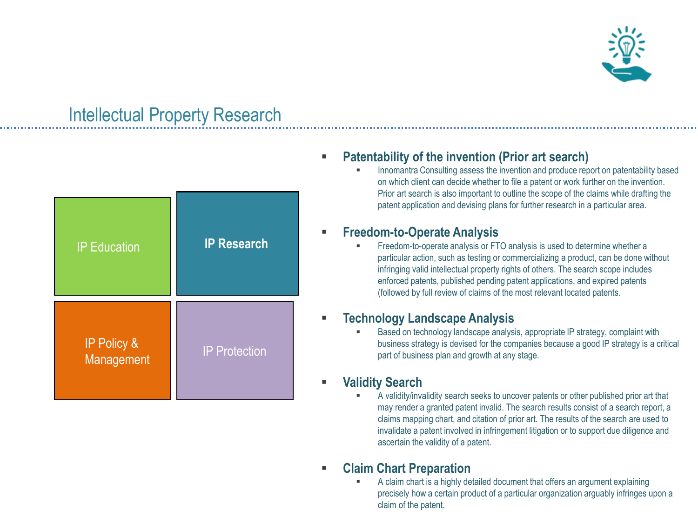

### Intellectual Property Research

| <b>IP Education</b>                  | <b>IP Research</b>   |  |
|--------------------------------------|----------------------|--|
| <b>IP Policy &amp;</b><br>Management | <b>IP Protection</b> |  |

### **Patentability of the invention (Prior art search)**

 Innomantra Consulting assess the invention and produce report on patentability based on which client can decide whether to file a patent or work further on the invention. Prior art search is also important to outline the scope of the claims while drafting the patent application and devising plans for further research in a particular area.

#### **Freedom-to-Operate Analysis**

 Freedom-to-operate analysis or FTO analysis is used to determine whether a particular action, such as testing or commercializing a product, can be done without infringing valid intellectual property rights of others. The search scope includes enforced patents, published pending patent applications, and expired patents (followed by full review of claims of the most relevant located patents.

#### **Technology Landscape Analysis**

 Based on technology landscape analysis, appropriate IP strategy, complaint with business strategy is devised for the companies because a good IP strategy is a critical part of business plan and growth at any stage.

### **Validity Search**

 A validity/invalidity search seeks to uncover patents or other published prior art that may render a granted patent invalid. The search results consist of a search report, a claims mapping chart, and citation of prior art. The results of the search are used to invalidate a patent involved in infringement litigation or to support due diligence and ascertain the validity of a patent.

#### **Claim Chart Preparation**

 A claim chart is a highly detailed document that offers an argument explaining precisely how a certain product of a particular organization arguably infringes upon a claim of the patent.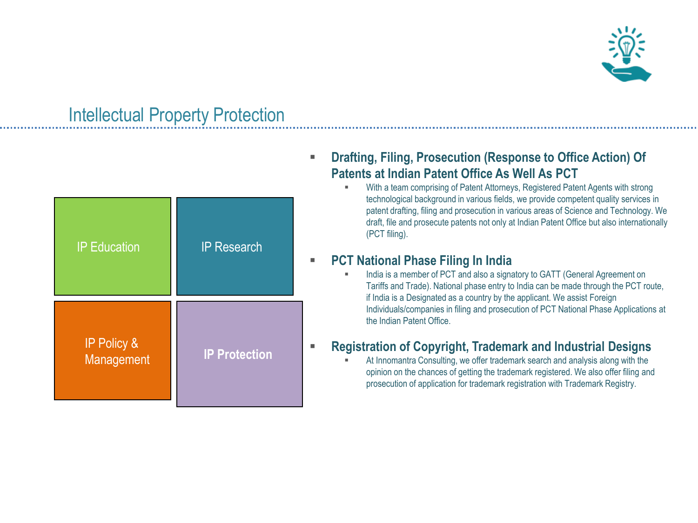

### Intellectual Property Protection

| <b>IP Education</b>                  | <b>IP Research</b>   |  |
|--------------------------------------|----------------------|--|
| <b>IP Policy &amp;</b><br>Management | <b>IP Protection</b> |  |

### **Drafting, Filing, Prosecution (Response to Office Action) Of Patents at Indian Patent Office As Well As PCT**

 With a team comprising of Patent Attorneys, Registered Patent Agents with strong technological background in various fields, we provide competent quality services in patent drafting, filing and prosecution in various areas of Science and Technology. We draft, file and prosecute patents not only at Indian Patent Office but also internationally (PCT filing).

#### **PCT National Phase Filing In India**

 India is a member of PCT and also a signatory to GATT (General Agreement on Tariffs and Trade). National phase entry to India can be made through the PCT route, if India is a Designated as a country by the applicant. We assist Foreign Individuals/companies in filing and prosecution of PCT National Phase Applications at the Indian Patent Office.

### **Registration of Copyright, Trademark and Industrial Designs**

 At Innomantra Consulting, we offer trademark search and analysis along with the opinion on the chances of getting the trademark registered. We also offer filing and prosecution of application for trademark registration with Trademark Registry.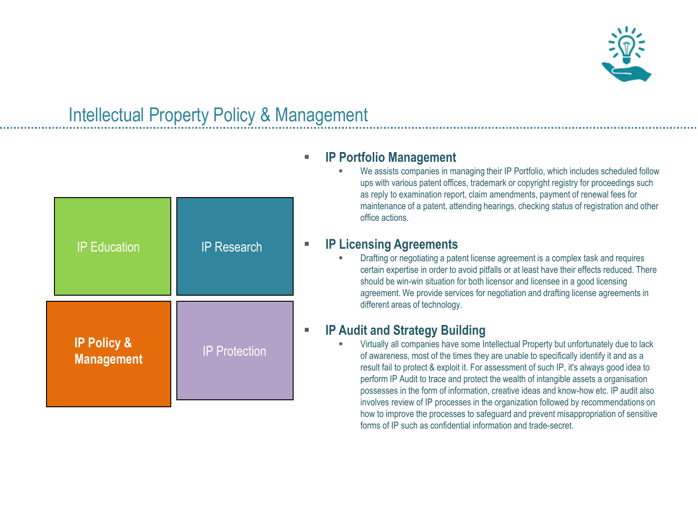

## Intellectual Property Policy & Management

### **IP Portfolio Management**

| <b>IP Education</b>                         | <b>IP Research</b>   |  |
|---------------------------------------------|----------------------|--|
| <b>IP Policy &amp;</b><br><b>Management</b> | <b>IP Protection</b> |  |

 We assists companies in managing their IP Portfolio, which includes scheduled follow ups with various patent offices, trademark or copyright registry for proceedings such as reply to examination report, claim amendments, payment of renewal fees for maintenance of a patent, attending hearings, checking status of registration and other office actions.

#### **IP Licensing Agreements**

 Drafting or negotiating a patent license agreement is a complex task and requires certain expertise in order to avoid pitfalls or at least have their effects reduced. There should be win-win situation for both licensor and licensee in a good licensing agreement. We provide services for negotiation and drafting license agreements in different areas of technology.

#### **IP Audit and Strategy Building**

 Virtually all companies have some Intellectual Property but unfortunately due to lack of awareness, most of the times they are unable to specifically identify it and as a result fail to protect & exploit it. For assessment of such IP, it's always good idea to perform IP Audit to trace and protect the wealth of intangible assets a organisation possesses in the form of information, creative ideas and know-how etc. IP audit also involves review of IP processes in the organization followed by recommendations on how to improve the processes to safeguard and prevent misappropriation of sensitive forms of IP such as confidential information and trade-secret.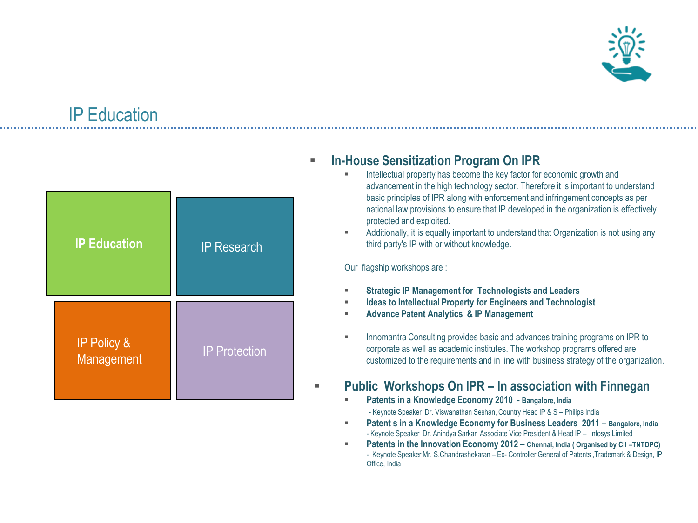

# IP Education

| <b>IP Education</b>                  | <b>IP Research</b>   |  |
|--------------------------------------|----------------------|--|
| <b>IP Policy &amp;</b><br>Management | <b>IP Protection</b> |  |

#### **In-House Sensitization Program On IPR**

- Intellectual property has become the key factor for economic growth and advancement in the high technology sector. Therefore it is important to understand basic principles of IPR along with enforcement and infringement concepts as per national law provisions to ensure that IP developed in the organization is effectively protected and exploited.
- Additionally, it is equally important to understand that Organization is not using any third party's IP with or without knowledge.

Our flagship workshops are :

- **Strategic IP Management for Technologists and Leaders**
- **Ideas to Intellectual Property for Engineers and Technologist**
- **Advance Patent Analytics & IP Management**
- **Innomantra Consulting provides basic and advances training programs on IPR to** corporate as well as academic institutes. The workshop programs offered are customized to the requirements and in line with business strategy of the organization.

### **Public Workshops On IPR – In association with Finnegan**

**Patents in a Knowledge Economy 2010 - Bangalore, India**

- Keynote Speaker Dr. Viswanathan Seshan, Country Head IP & S – Philips India

- **Patent s in a Knowledge Economy for Business Leaders 2011 – Bangalore, India** - Keynote Speaker Dr. Anindya Sarkar Associate Vice President & Head IP – Infosys Limited
- **Patents in the Innovation Economy 2012 Chennai, India ( Organised by CII -TNTDPC)** - Keynote Speaker Mr. S.Chandrashekaran – Ex- Controller General of Patents ,Trademark & Design, IP Office, India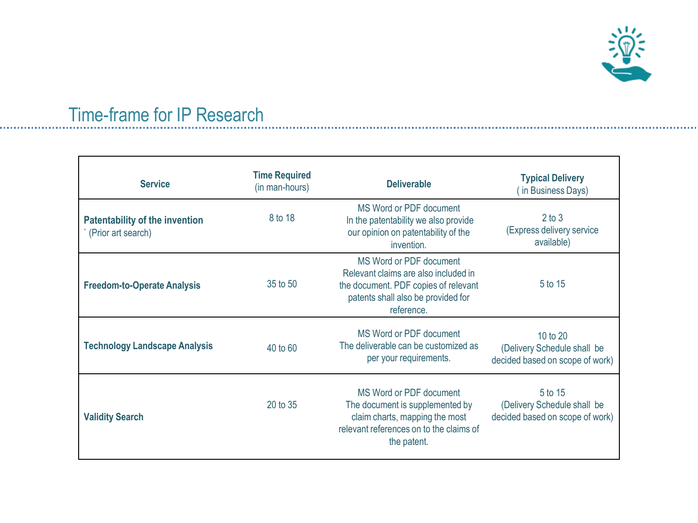

### Time-frame for IP Research

| <b>Service</b>                                              | <b>Time Required</b><br>(in man-hours) | <b>Deliverable</b>                                                                                                                                          | <b>Typical Delivery</b><br>(in Business Days)                              |
|-------------------------------------------------------------|----------------------------------------|-------------------------------------------------------------------------------------------------------------------------------------------------------------|----------------------------------------------------------------------------|
| <b>Patentability of the invention</b><br>(Prior art search) | 8 to 18                                | MS Word or PDF document<br>In the patentability we also provide<br>our opinion on patentability of the<br>invention.                                        | $2$ to $3$<br>(Express delivery service<br>available)                      |
| <b>Freedom-to-Operate Analysis</b>                          | 35 to 50                               | MS Word or PDF document<br>Relevant claims are also included in<br>the document. PDF copies of relevant<br>patents shall also be provided for<br>reference. | 5 to 15                                                                    |
| <b>Technology Landscape Analysis</b>                        | 40 to 60                               | MS Word or PDF document<br>The deliverable can be customized as<br>per your requirements.                                                                   | 10 to 20<br>(Delivery Schedule shall be<br>decided based on scope of work) |
| <b>Validity Search</b>                                      | 20 to 35                               | MS Word or PDF document<br>The document is supplemented by<br>claim charts, mapping the most<br>relevant references on to the claims of<br>the patent.      | 5 to 15<br>(Delivery Schedule shall be<br>decided based on scope of work)  |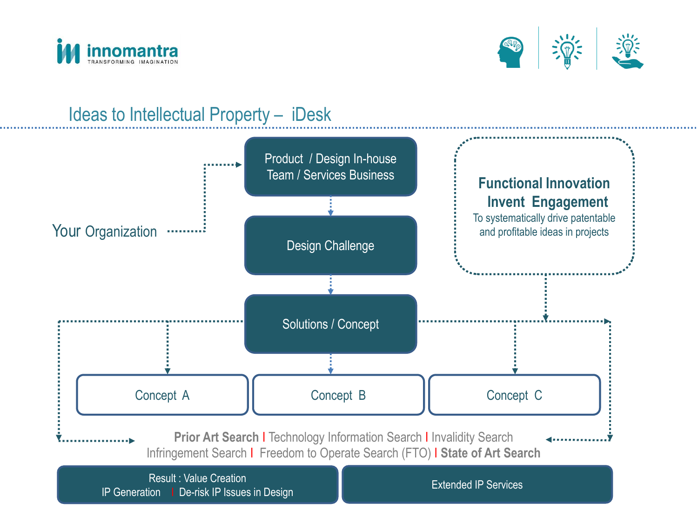



### Ideas to Intellectual Property – iDesk

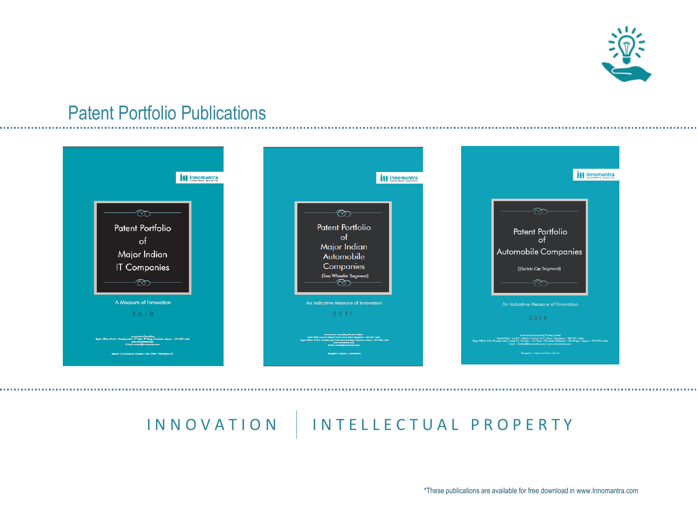

### Patent Portfolio Publications



## IN NOVATION | INTELLECTUAL PROPERTY

\*These publications are available for free download in www.Innomantra.com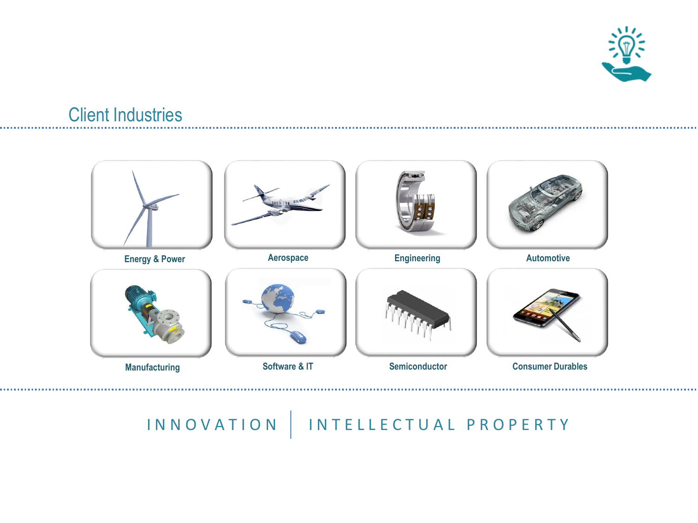

### Client Industries



# INNOVATION | INTELLECTUAL PROPERTY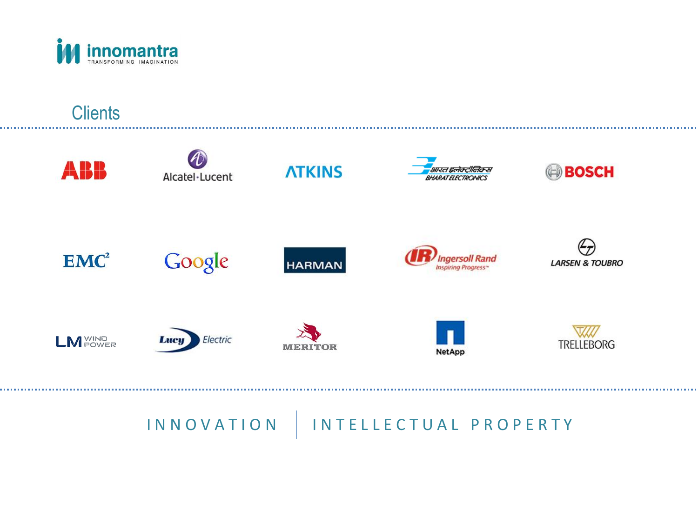

### **Clients**



# I N N O V A T I O N | I N T E L L E C T U A L P R O P E R T Y